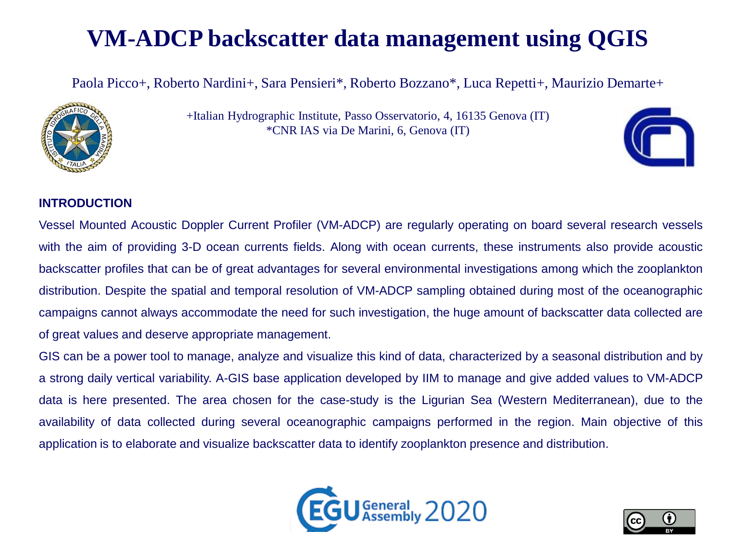# **VM-ADCP backscatter data management using QGIS**

Paola Picco+, Roberto Nardini+, Sara Pensieri\*, Roberto Bozzano\*, Luca Repetti+, Maurizio Demarte+



+Italian Hydrographic Institute, Passo Osservatorio, 4, 16135 Genova (IT) \*CNR IAS via De Marini, 6, Genova (IT)



#### **INTRODUCTION**

Vessel Mounted Acoustic Doppler Current Profiler (VM-ADCP) are regularly operating on board several research vessels with the aim of providing 3-D ocean currents fields. Along with ocean currents, these instruments also provide acoustic backscatter profiles that can be of great advantages for several environmental investigations among which the zooplankton distribution. Despite the spatial and temporal resolution of VM-ADCP sampling obtained during most of the oceanographic campaigns cannot always accommodate the need for such investigation, the huge amount of backscatter data collected are of great values and deserve appropriate management.

GIS can be a power tool to manage, analyze and visualize this kind of data, characterized by a seasonal distribution and by a strong daily vertical variability. A-GIS base application developed by IIM to manage and give added values to VM-ADCP data is here presented. The area chosen for the case-study is the Ligurian Sea (Western Mediterranean), due to the availability of data collected during several oceanographic campaigns performed in the region. Main objective of this application is to elaborate and visualize backscatter data to identify zooplankton presence and distribution.



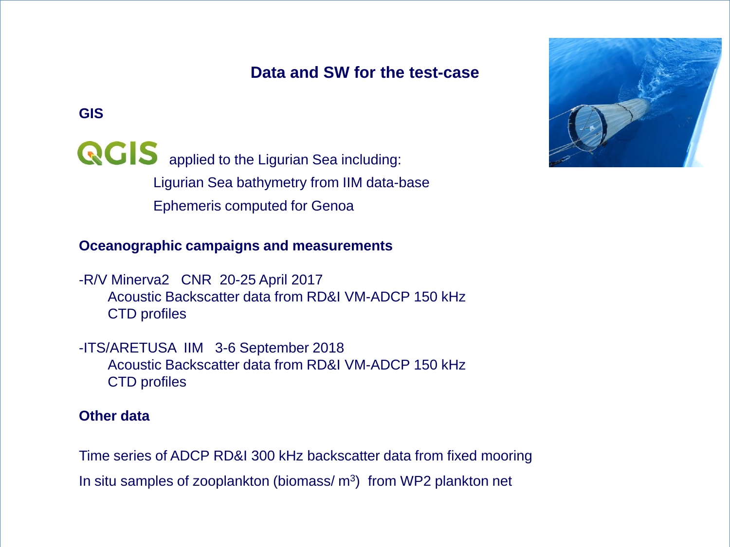### **Data and SW for the test-case**

#### **GIS**

**QCIS** applied to the Ligurian Sea including: Ligurian Sea bathymetry from IIM data-base Ephemeris computed for Genoa

#### **Oceanographic campaigns and measurements**

-R/V Minerva2 CNR 20-25 April 2017 Acoustic Backscatter data from RD&I VM-ADCP 150 kHz CTD profiles

-ITS/ARETUSA IIM 3-6 September 2018 Acoustic Backscatter data from RD&I VM-ADCP 150 kHz CTD profiles

#### **Other data**

Time series of ADCP RD&I 300 kHz backscatter data from fixed mooring In situ samples of zooplankton (biomass/ $m<sup>3</sup>$ ) from WP2 plankton net

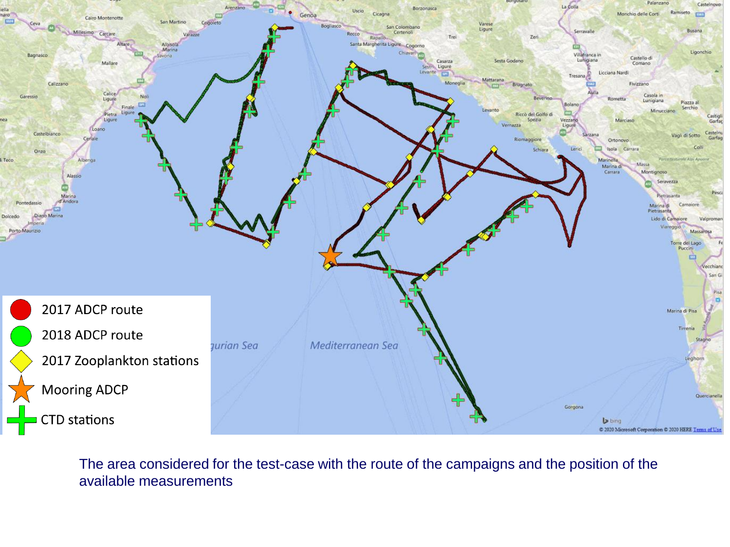

The area considered for the test-case with the route of the campaigns and the position of the available measurements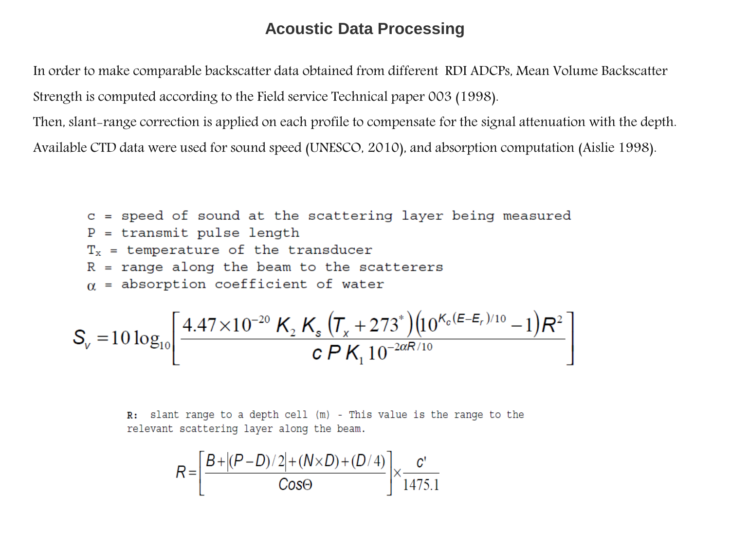#### **Acoustic Data Processing**

In order to make comparable backscatter data obtained from different RDI ADCPs, Mean Volume Backscatter Strength is computed according to the Field service Technical paper 003 (1998).

Then, slant-range correction is applied on each profile to compensate for the signal attenuation with the depth. Available CTD data were used for sound speed (UNESCO, 2010), and absorption computation (Aislie 1998).

\n
$$
c =
$$
 speed of sound at the scattering layer being measured  
\n $P =$  transmit pulse length  
\n $T_x =$  temperature of the transducer  
\n $R =$  range along the beam to the scatterers  
\n $\alpha =$  absorption coefficient of water  
\n $\left[ A A7 \times 10^{-20} \, \text{K} \, \text{K} \left( \text{T} + 272^* \right) \left( 10 K_c (E-E_r)/10 - 1 \right) \text{D}^2 \right]$ \n

$$
S_{v} = 10 \log_{10} \left[ \frac{4.47 \times 10^{-20} \, \text{K}_{2} \, \text{K}_{s} \, (T_{x} + 273^{*}) (10^{\kappa_{c} (E-E_{r})/10} - 1) \, R^{2}}{c \, P \, \text{K}_{1} \, 10^{-2 \alpha R/10}} \right]
$$

R: slant range to a depth cell (m) - This value is the range to the relevant scattering layer along the beam.

$$
R = \left[\frac{B + |(P - D)/2| + (N \times D) + (D/4)}{\text{Cos}\Theta}\right] \times \frac{c'}{1475.1}
$$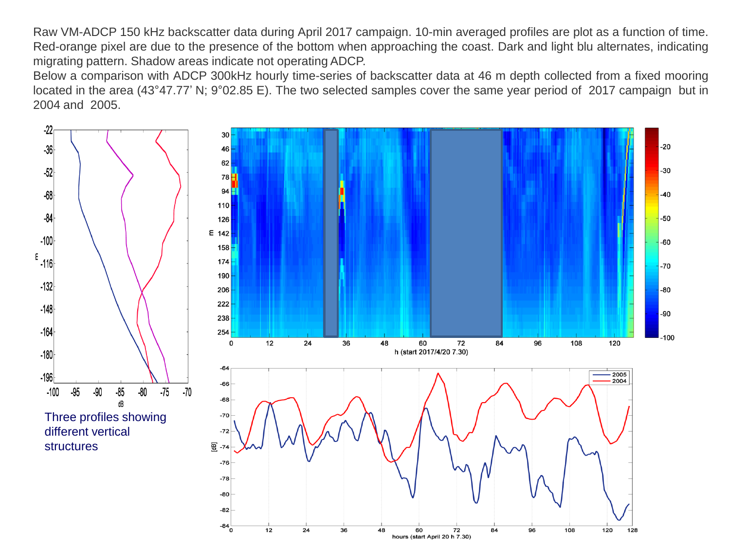Raw VM-ADCP 150 kHz backscatter data during April 2017 campaign. 10-min averaged profiles are plot as a function of time. Red-orange pixel are due to the presence of the bottom when approaching the coast. Dark and light blu alternates, indicating migrating pattern. Shadow areas indicate not operating ADCP.

Below a comparison with ADCP 300kHz hourly time-series of backscatter data at 46 m depth collected from a fixed mooring located in the area (43°47.77' N; 9°02.85 E). The two selected samples cover the same year period of 2017 campaign but in 2004 and 2005.

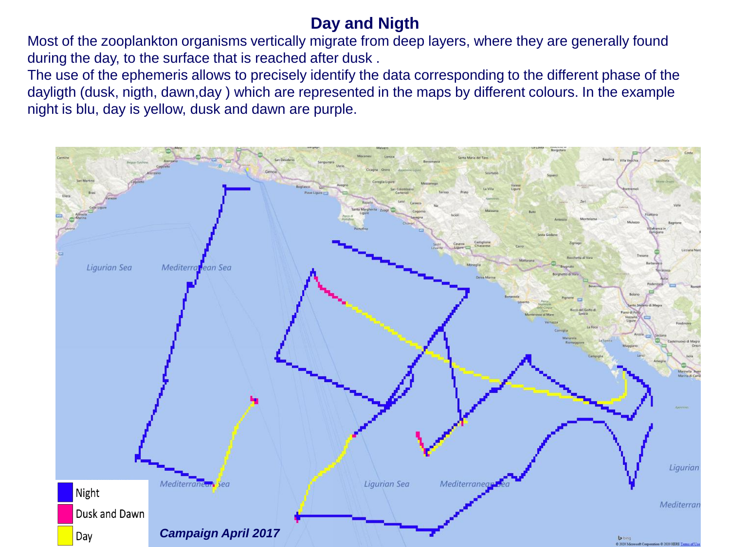# **Day and Nigth**

Most of the zooplankton organisms vertically migrate from deep layers, where they are generally found during the day, to the surface that is reached after dusk .

The use of the ephemeris allows to precisely identify the data corresponding to the different phase of the dayligth (dusk, nigth, dawn,day ) which are represented in the maps by different colours. In the example night is blu, day is yellow, dusk and dawn are purple.

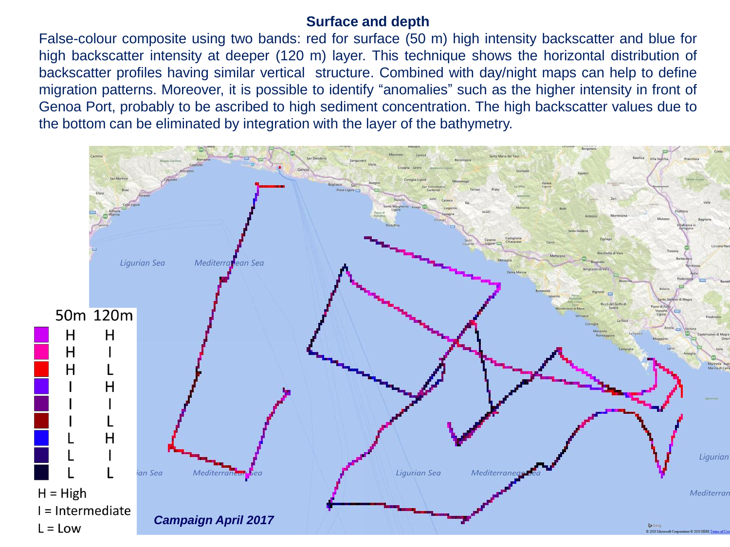#### **Surface and depth**

False-colour composite using two bands: red for surface (50 m) high intensity backscatter and blue for high backscatter intensity at deeper (120 m) layer. This technique shows the horizontal distribution of backscatter profiles having similar vertical structure. Combined with day/night maps can help to define migration patterns. Moreover, it is possible to identify "anomalies" such as the higher intensity in front of Genoa Port, probably to be ascribed to high sediment concentration. The high backscatter values due to the bottom can be eliminated by integration with the layer of the bathymetry.